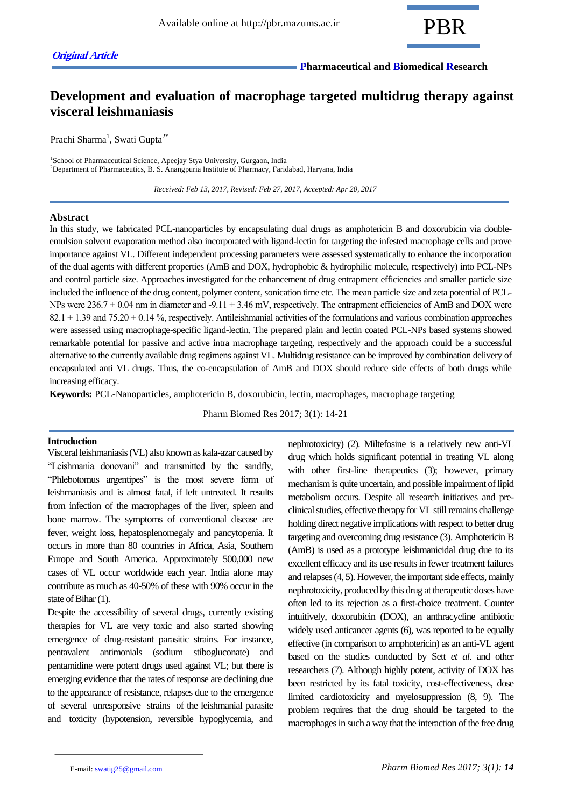

# **Development and evaluation of macrophage targeted multidrug therapy against visceral leishmaniasis**

Prachi Sharma<sup>1</sup>, Swati Gupta<sup>2\*</sup>

<sup>1</sup>School of Pharmaceutical Science, Apeejay Stya University, Gurgaon, India <sup>2</sup>Department of Pharmaceutics, B. S. Anangpuria Institute of Pharmacy, Faridabad, Haryana, India

 *Received: Feb 13, 2017, Revised: Feb 27, 2017, Accepted: Apr 20, 2017*

# **Abstract**

In this study, we fabricated PCL-nanoparticles by encapsulating dual drugs as amphotericin B and doxorubicin via doubleemulsion solvent evaporation method also incorporated with ligand-lectin for targeting the infested macrophage cells and prove importance against VL. Different independent processing parameters were assessed systematically to enhance the incorporation of the dual agents with different properties (AmB and DOX, hydrophobic & hydrophilic molecule, respectively) into PCL-NPs and control particle size. Approaches investigated for the enhancement of drug entrapment efficiencies and smaller particle size included the influence of the drug content, polymer content, sonication time etc. The mean particle size and zeta potential of PCL-NPs were  $236.7 \pm 0.04$  nm in diameter and -9.11  $\pm 3.46$  mV, respectively. The entrapment efficiencies of AmB and DOX were  $82.1 \pm 1.39$  and  $75.20 \pm 0.14$ %, respectively. Antileishmanial activities of the formulations and various combination approaches were assessed using macrophage-specific ligand-lectin. The prepared plain and lectin coated PCL-NPs based systems showed remarkable potential for passive and active intra macrophage targeting, respectively and the approach could be a successful alternative to the currently available drug regimens against VL. Multidrug resistance can be improved by combination delivery of encapsulated anti VL drugs. Thus, the co-encapsulation of AmB and DOX should reduce side effects of both drugs while increasing efficacy.

**Keywords:** PCL-Nanoparticles, amphotericin B, doxorubicin, lectin, macrophages, macrophage targeting

Pharm Biomed Res 2017; 3(1): 14-21

# **Introduction**

Visceral leishmaniasis (VL) also known as kala-azar caused by "Leishmania donovani" and transmitted by the sandfly, "Phlebotomus argentipes" is the most severe form of leishmaniasis and is almost fatal, if left untreated. It results from infection of the macrophages of the liver, spleen and bone marrow. The symptoms of conventional disease are fever, weight loss, hepatosplenomegaly and pancytopenia. It occurs in more than 80 countries in Africa, Asia, Southern Europe and South America. Approximately 500,000 new cases of VL occur worldwide each year. India alone may contribute as much as 40-50% of these with 90% occur in the state of Bihar (1).

Despite the accessibility of several drugs, currently existing therapies for VL are very toxic and also started showing emergence of drug-resistant parasitic strains. For instance, pentavalent antimonials (sodium stibogluconate) and pentamidine were potent drugs used against VL; but there is emerging evidence that the rates of response are declining due to the appearance of resistance, relapses due to the emergence of several unresponsive strains of the leishmanial parasite and toxicity (hypotension, reversible hypoglycemia, and

nephrotoxicity) (2). Miltefosine is a relatively new anti-VL drug which holds significant potential in treating VL along with other first-line therapeutics (3); however, primary mechanism is quite uncertain, and possible impairment of lipid metabolism occurs. Despite all research initiatives and preclinical studies, effective therapy for VL still remains challenge holding direct negative implications with respect to better drug targeting and overcoming drug resistance (3). Amphotericin B (AmB) is used as a prototype leishmanicidal drug due to its excellent efficacy and its use results in fewer treatment failures and relapses (4, 5). However, the important side effects, mainly nephrotoxicity, produced by this drug at therapeutic doses have often led to its rejection as a first-choice treatment. Counter intuitively, doxorubicin (DOX), an anthracycline antibiotic widely used anticancer agents (6), was reported to be equally effective (in comparison to amphotericin) as an anti-VL agent based on the studies conducted by Sett *et al.* and other researchers (7). Although highly potent, activity of DOX has been restricted by its fatal toxicity, cost-effectiveness, dose limited cardiotoxicity and myelosuppression (8, 9). The problem requires that the drug should be targeted to the macrophages in such a way that the interaction of the free drug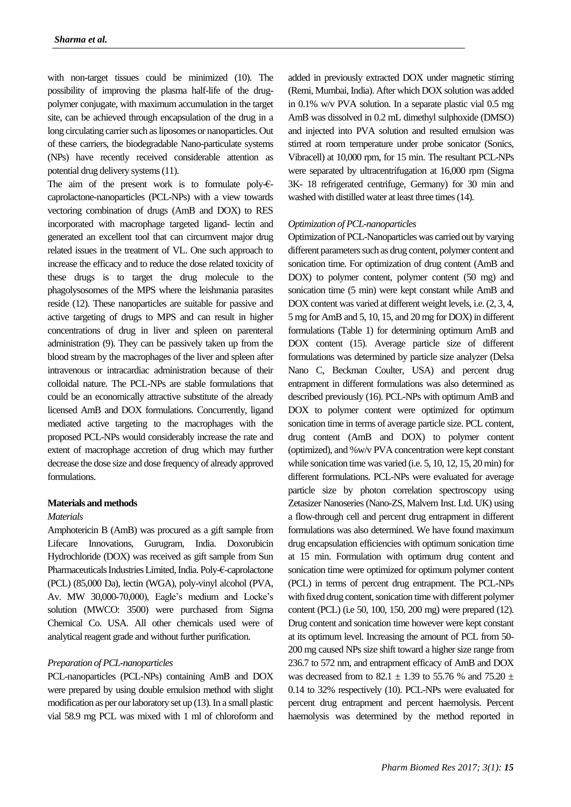with non-target tissues could be minimized (10). The possibility of improving the plasma half-life of the drugpolymer conjugate, with maximum accumulation in the target site, can be achieved through encapsulation of the drug in a long circulating carrier such as liposomes or nanoparticles. Out of these carriers, the biodegradable Nano-particulate systems (NPs) have recently received considerable attention as potential drug delivery systems (11).

The aim of the present work is to formulate poly- $\epsilon$ caprolactone-nanoparticles (PCL-NPs) with a view towards vectoring combination of drugs (AmB and DOX) to RES incorporated with macrophage targeted ligand- lectin and generated an excellent tool that can circumvent major drug related issues in the treatment of VL. One such approach to increase the efficacy and to reduce the dose related toxicity of these drugs is to target the drug molecule to the phagolysosomes of the MPS where the leishmania parasites reside (12). These nanoparticles are suitable for passive and active targeting of drugs to MPS and can result in higher concentrations of drug in liver and spleen on parenteral administration (9). They can be passively taken up from the blood stream by the macrophages of the liver and spleen after intravenous or intracardiac administration because of their colloidal nature. The PCL-NPs are stable formulations that could be an economically attractive substitute of the already licensed AmB and DOX formulations. Concurrently, ligand mediated active targeting to the macrophages with the proposed PCL-NPs would considerably increase the rate and extent of macrophage accretion of drug which may further decrease the dose size and dose frequency of already approved formulations.

#### **Materials and methods**

#### *Materials*

Amphotericin B (AmB) was procured as a gift sample from Lifecare Innovations, Gurugram, India. Doxorubicin Hydrochloride (DOX) was received as gift sample from Sun Pharmaceuticals Industries Limited, India. Poly-€-caprolactone (PCL) (85,000 Da), lectin (WGA), poly-vinyl alcohol (PVA, Av. MW 30,000-70,000), Eagle's medium and Locke's solution (MWCO: 3500) were purchased from Sigma Chemical Co. USA. All other chemicals used were of analytical reagent grade and without further purification.

# *Preparation of PCL-nanoparticles*

PCL-nanoparticles (PCL-NPs) containing AmB and DOX were prepared by using double emulsion method with slight modification as per our laboratory set up (13). In a small plastic vial 58.9 mg PCL was mixed with 1 ml of chloroform and added in previously extracted DOX under magnetic stirring (Remi, Mumbai, India). After which DOX solution was added in 0.1% w/v PVA solution. In a separate plastic vial 0.5 mg AmB was dissolved in 0.2 mL dimethyl sulphoxide (DMSO) and injected into PVA solution and resulted emulsion was stirred at room temperature under probe sonicator (Sonics, Vibracell) at 10,000 rpm, for 15 min. The resultant PCL-NPs were separated by ultracentrifugation at 16,000 rpm (Sigma 3K- 18 refrigerated centrifuge, Germany) for 30 min and washed with distilled water at least three times (14).

#### *Optimization of PCL-nanoparticles*

Optimization of PCL-Nanoparticles was carried out by varying different parameters such as drug content, polymer content and sonication time. For optimization of drug content (AmB and DOX) to polymer content, polymer content (50 mg) and sonication time (5 min) were kept constant while AmB and DOX content was varied at different weight levels, i.e. (2, 3, 4, 5 mg for AmB and 5, 10, 15, and 20 mg for DOX) in different formulations (Table 1) for determining optimum AmB and DOX content (15). Average particle size of different formulations was determined by particle size analyzer (Delsa Nano C, Beckman Coulter, USA) and percent drug entrapment in different formulations was also determined as described previously (16). PCL-NPs with optimum AmB and DOX to polymer content were optimized for optimum sonication time in terms of average particle size. PCL content, drug content (AmB and DOX) to polymer content (optimized), and %w/v PVA concentration were kept constant while sonication time was varied (i.e. 5, 10, 12, 15, 20 min) for different formulations. PCL-NPs were evaluated for average particle size by photon correlation spectroscopy using Zetasizer Nanoseries (Nano-ZS, Malvern Inst. Ltd. UK) using a flow-through cell and percent drug entrapment in different formulations was also determined. We have found maximum drug encapsulation efficiencies with optimum sonication time at 15 min. Formulation with optimum drug content and sonication time were optimized for optimum polymer content (PCL) in terms of percent drug entrapment. The PCL-NPs with fixed drug content, sonication time with different polymer content (PCL) (i.e 50, 100, 150, 200 mg) were prepared (12). Drug content and sonication time however were kept constant at its optimum level. Increasing the amount of PCL from 50- 200 mg caused NPs size shift toward a higher size range from 236.7 to 572 nm, and entrapment efficacy of AmB and DOX was decreased from to 82.1  $\pm$  1.39 to 55.76 % and 75.20  $\pm$ 0.14 to 32% respectively (10). PCL-NPs were evaluated for percent drug entrapment and percent haemolysis. Percent haemolysis was determined by the method reported in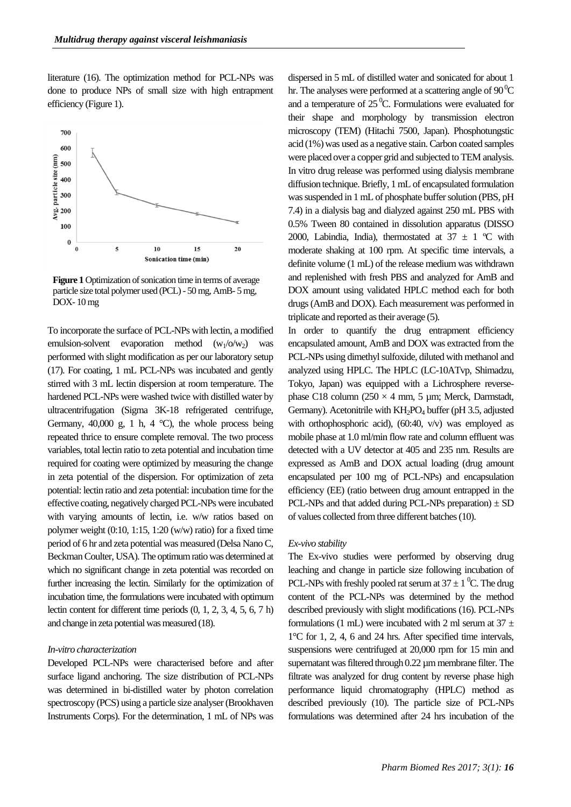literature (16). The optimization method for PCL-NPs was done to produce NPs of small size with high entrapment efficiency (Figure 1).



**Figure 1** Optimization of sonication time in terms of average particle size total polymer used (PCL) - 50 mg, AmB- 5 mg, DOX- 10 mg

To incorporate the surface of PCL-NPs with lectin, a modified emulsion-solvent evaporation method  $(w_1/\omega/w_2)$ performed with slight modification as per our laboratory setup (17). For coating, 1 mL PCL-NPs was incubated and gently stirred with 3 mL lectin dispersion at room temperature. The hardened PCL-NPs were washed twice with distilled water by ultracentrifugation (Sigma 3K-18 refrigerated centrifuge, Germany, 40,000 g, 1 h, 4  $^{\circ}$ C), the whole process being repeated thrice to ensure complete removal. The two process variables, total lectin ratio to zeta potential and incubation time required for coating were optimized by measuring the change in zeta potential of the dispersion. For optimization of zeta potential: lectin ratio and zeta potential: incubation time for the effective coating, negatively charged PCL-NPs were incubated with varying amounts of lectin, i.e. w/w ratios based on polymer weight (0:10, 1:15, 1:20 (w/w) ratio) for a fixed time period of 6 hr and zeta potential was measured (Delsa Nano C, Beckman Coulter, USA). The optimum ratio was determined at which no significant change in zeta potential was recorded on further increasing the lectin. Similarly for the optimization of incubation time, the formulations were incubated with optimum lectin content for different time periods (0, 1, 2, 3, 4, 5, 6, 7 h) and change in zeta potential was measured (18).

## *In-vitro characterization*

*Coating with lectin*

Developed PCL-NPs were characterised before and after surface ligand anchoring. The size distribution of PCL-NPs was determined in bi-distilled water by photon correlation spectroscopy (PCS) using a particle size analyser (Brookhaven Instruments Corps). For the determination, 1 mL of NPs was

dispersed in 5 mL of distilled water and sonicated for about 1 hr. The analyses were performed at a scattering angle of  $90^{\circ}$ C and a temperature of  $25<sup>0</sup>C$ . Formulations were evaluated for their shape and morphology by transmission electron microscopy (TEM) (Hitachi 7500, Japan). Phosphotungstic acid (1%) was used as a negative stain. Carbon coated samples were placed over a copper grid and subjected to TEM analysis. In vitro drug release was performed using dialysis membrane diffusion technique. Briefly, 1 mL of encapsulated formulation was suspended in 1 mL of phosphate buffer solution (PBS, pH 7.4) in a dialysis bag and dialyzed against 250 mL PBS with 0.5% Tween 80 contained in dissolution apparatus (DISSO 2000, Labindia, India), thermostated at  $37 \pm 1$  °C with moderate shaking at 100 rpm. At specific time intervals, a definite volume (1 mL) of the release medium was withdrawn and replenished with fresh PBS and analyzed for AmB and DOX amount using validated HPLC method each for both drugs (AmB and DOX). Each measurement was performed in triplicate and reported as their average (5).

In order to quantify the drug entrapment efficiency encapsulated amount, AmB and DOX was extracted from the PCL-NPs using dimethyl sulfoxide, diluted with methanol and analyzed using HPLC. The HPLC (LC-10ATvp, Shimadzu, Tokyo, Japan) was equipped with a Lichrosphere reversephase C18 column ( $250 \times 4$  mm, 5 µm; Merck, Darmstadt, Germany). Acetonitrile with KH<sub>2</sub>PO<sub>4</sub> buffer (pH 3.5, adjusted with orthophosphoric acid), (60:40, v/v) was employed as mobile phase at 1.0 ml/min flow rate and column effluent was detected with a UV detector at 405 and 235 nm. Results are expressed as AmB and DOX actual loading (drug amount encapsulated per 100 mg of PCL-NPs) and encapsulation efficiency (EE) (ratio between drug amount entrapped in the PCL-NPs and that added during PCL-NPs preparation)  $\pm$  SD of values collected from three different batches (10).

#### *Ex-vivo stability*

The Ex-vivo studies were performed by observing drug leaching and change in particle size following incubation of PCL-NPs with freshly pooled rat serum at  $37 \pm 1$  <sup>0</sup>C. The drug content of the PCL-NPs was determined by the method described previously with slight modifications (16). PCL-NPs formulations (1 mL) were incubated with 2 ml serum at  $37 \pm$ 1°C for 1, 2, 4, 6 and 24 hrs. After specified time intervals, suspensions were centrifuged at 20,000 rpm for 15 min and supernatant was filtered through 0.22 µm membrane filter. The filtrate was analyzed for drug content by reverse phase high performance liquid chromatography (HPLC) method as described previously (10). The particle size of PCL-NPs formulations was determined after 24 hrs incubation of the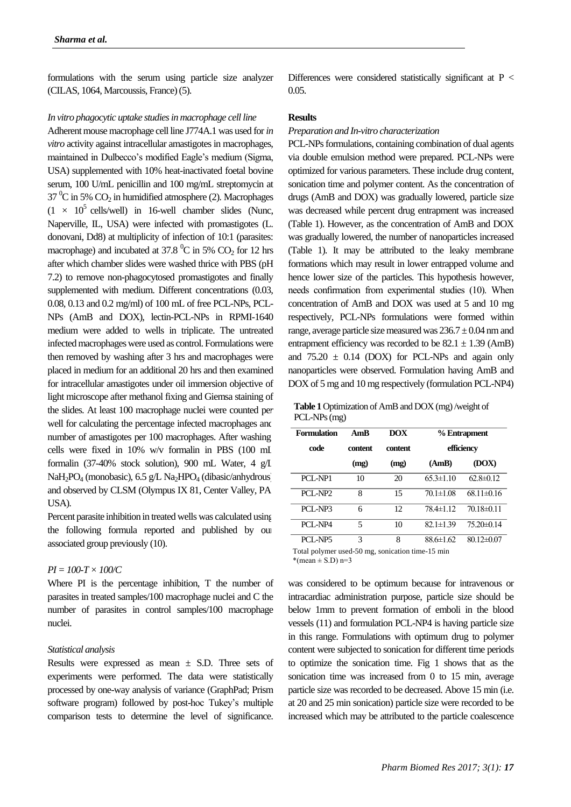formulations with the serum using particle size analyzer (CILAS, 1064, Marcoussis, France) (5).

*In vitro phagocytic uptake studies in macrophage cell line*

Adherent mouse macrophage cell line J774A.1 was used for *in vitro* activity against intracellular amastigotes in macrophages, maintained in Dulbecco's modified Eagle's medium (Sigma, USA) supplemented with 10% heat-inactivated foetal bovine serum, 100 U/mL penicillin and 100 mg/mL streptomycin at  $37 \text{ °C}$  in 5% CO<sub>2</sub> in humidified atmosphere (2). Macrophages  $(1 \times 10^5 \text{ cells/well})$  in 16-well chamber slides (Nunc, Naperville, IL, USA) were infected with promastigotes (L. donovani, Dd8) at multiplicity of infection of 10:1 (parasites: macrophage) and incubated at 37.8  $\mathrm{^0C}$  in 5% CO<sub>2</sub> for 12 hrs after which chamber slides were washed thrice with PBS (pH 7.2) to remove non-phagocytosed promastigotes and finally supplemented with medium. Different concentrations  $(0.03, 0.03)$ 0.08, 0.13 and 0.2 mg/ml) of 100 mL of free PCL-NPs, PCL-NPs (AmB and DOX), lectin-PCL-NPs in RPMI-1640 medium were added to wells in triplicate. The untreated infected macrophages were used as control. Formulations were then removed by washing after 3 hrs and macrophages were placed in medium for an additional 20 hrs and then examined for intracellular amastigotes under oil immersion objective of light microscope after methanol fixing and Giemsa staining of the slides. At least 100 macrophage nuclei were counted per well for calculating the percentage infected macrophages and number of amastigotes per 100 macrophages. After washing, cells were fixed in 10% w/v formalin in PBS (100 mL formalin (37-40% stock solution), 900 mL Water, 4 g/L NaH<sub>2</sub>PO<sub>4</sub> (monobasic), 6.5 g/L Na<sub>2</sub>HPO<sub>4</sub> (dibasic/anhydrous) and observed by CLSM (Olympus IX 81, Center Valley, PA, USA).

Percent parasite inhibition in treated wells was calculated using the following formula reported and published by our associated group previously (10).

# *PI = 100-T × 100/C*

Where PI is the percentage inhibition, T the number of parasites in treated samples/100 macrophage nuclei and C the number of parasites in control samples/100 macrophage nuclei.

## *Statistical analysis*

Results were expressed as mean  $\pm$  S.D. Three sets of experiments were performed. The data were statistically processed by one-way analysis of variance (GraphPad; Prism software program) followed by post-hoc Tukey's multiple comparison tests to determine the level of significance.

Differences were considered statistically significant at  $P <$ 0.05.

# **Results**

#### *Preparation and In-vitro characterization*

PCL-NPs formulations, containing combination of dual agents via double emulsion method were prepared. PCL-NPs were optimized for various parameters. These include drug content, sonication time and polymer content. As the concentration of drugs (AmB and DOX) was gradually lowered, particle size was decreased while percent drug entrapment was increased (Table 1). However, as the concentration of AmB and DOX was gradually lowered, the number of nanoparticles increased (Table 1). It may be attributed to the leaky membrane formations which may result in lower entrapped volume and hence lower size of the particles. This hypothesis however, needs confirmation from experimental studies (10). When concentration of AmB and DOX was used at 5 and 10 mg respectively, PCL-NPs formulations were formed within range, average particle size measured was  $236.7 \pm 0.04$  nm and entrapment efficiency was recorded to be  $82.1 \pm 1.39$  (AmB) and  $75.20 \pm 0.14$  (DOX) for PCL-NPs and again only nanoparticles were observed. Formulation having AmB and DOX of 5 mg and 10 mg respectively (formulation PCL-NP4)

**Table 1** Optimization of AmB and DOX (mg) /weight of PCL-NPs (mg)

| Formulation         | AmB     | DOX            | % Entrapment    |                  |
|---------------------|---------|----------------|-----------------|------------------|
| code                | content | <b>content</b> | efficiency      |                  |
|                     | (mg)    | (mg)           | (AmB)           | (DOX)            |
| PCI-NP1             | 10      | 20             | $65.3 \pm 1.10$ | $62.8\pm 0.12$   |
| PCI-NP <sub>2</sub> | 8       | 15             | $70.1 \pm 1.08$ | $68.11 \pm 0.16$ |
| PCI-NP3             | 6       | 12             | 78.4±1.12       | $70.18 \pm 0.11$ |
| PCI-NP4             | 5       | 10             | $82.1 \pm 1.39$ | $75.20 \pm 0.14$ |
| PCI-NP5             | 3       | 8              | 88.6±1.62       | $8012\pm0.07$    |

Total polymer used-50 mg, sonication time-15 min \*(mean  $\pm$  S.D) n=3

was considered to be optimum because for intravenous or intracardiac administration purpose, particle size should be below 1mm to prevent formation of emboli in the blood vessels (11) and formulation PCL-NP4 is having particle size in this range. Formulations with optimum drug to polymer content were subjected to sonication for different time periods to optimize the sonication time. Fig 1 shows that as the sonication time was increased from 0 to 15 min, average particle size was recorded to be decreased. Above 15 min (i.e. at 20 and 25 min sonication) particle size were recorded to be increased which may be attributed to the particle coalescence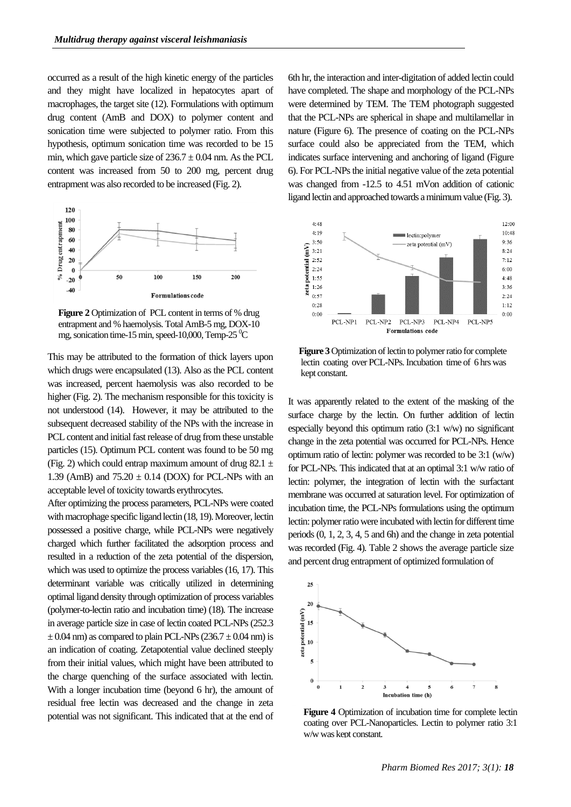occurred as a result of the high kinetic energy of the particles and they might have localized in hepatocytes apart of macrophages, the target site (12). Formulations with optimum drug content (AmB and DOX) to polymer content and sonication time were subjected to polymer ratio. From this hypothesis, optimum sonication time was recorded to be 15 min, which gave particle size of  $236.7 \pm 0.04$  nm. As the PCL content was increased from 50 to 200 mg, percent drug entrapment was also recorded to be increased (Fig. 2).



**Figure 2** Optimization of PCL content in terms of % drug entrapment and % haemolysis. Total AmB-5 mg, DOX-10 mg, sonication time-15 min, speed-10,000, Temp-25  $\mathrm{°C}$ 

This may be attributed to the formation of thick layers upon which drugs were encapsulated (13). Also as the PCL content was increased, percent haemolysis was also recorded to be higher (Fig. 2). The mechanism responsible for this toxicity is not understood (14). However, it may be attributed to the subsequent decreased stability of the NPs with the increase in PCL content and initial fast release of drug from these unstable particles (15). Optimum PCL content was found to be 50 mg (Fig. 2) which could entrap maximum amount of drug 82.1  $\pm$ 1.39 (AmB) and  $75.20 \pm 0.14$  (DOX) for PCL-NPs with an acceptable level of toxicity towards erythrocytes.

After optimizing the process parameters, PCL-NPs were coated with macrophage specific ligand lectin (18, 19). Moreover, lectin possessed a positive charge, while PCL-NPs were negatively charged which further facilitated the adsorption process and resulted in a reduction of the zeta potential of the dispersion, which was used to optimize the process variables (16, 17). This determinant variable was critically utilized in determining optimal ligand density through optimization of process variables (polymer-to-lectin ratio and incubation time) (18). The increase in average particle size in case of lectin coated PCL-NPs (252.3  $\pm$  0.04 nm) as compared to plain PCL-NPs (236.7  $\pm$  0.04 nm) is an indication of coating. Zetapotential value declined steeply from their initial values, which might have been attributed to the charge quenching of the surface associated with lectin. With a longer incubation time (beyond 6 hr), the amount of residual free lectin was decreased and the change in zeta potential was not significant. This indicated that at the end of

6th hr, the interaction and inter-digitation of added lectin could have completed. The shape and morphology of the PCL-NPs were determined by TEM. The TEM photograph suggested that the PCL-NPs are spherical in shape and multilamellar in nature (Figure 6). The presence of coating on the PCL-NPs surface could also be appreciated from the TEM, which indicates surface intervening and anchoring of ligand (Figure 6). For PCL-NPs the initial negative value of the zeta potential was changed from -12.5 to 4.51 mVon addition of cationic ligand lectin and approached towards a minimum value (Fig. 3).



**Figure 3** Optimization of lectin to polymer ratio for complete lectin coating over PCL-NPs. Incubation time of 6 hrs was kept constant.

It was apparently related to the extent of the masking of the surface charge by the lectin. On further addition of lectin especially beyond this optimum ratio (3:1 w/w) no significant change in the zeta potential was occurred for PCL-NPs. Hence optimum ratio of lectin: polymer was recorded to be 3:1 (w/w) for PCL-NPs. This indicated that at an optimal 3:1 w/w ratio of lectin: polymer, the integration of lectin with the surfactant membrane was occurred at saturation level. For optimization of incubation time, the PCL-NPs formulations using the optimum lectin: polymer ratio were incubated with lectin for different time periods (0, 1, 2, 3, 4, 5 and 6h) and the change in zeta potential was recorded (Fig. 4). Table 2 shows the average particle size and percent drug entrapment of optimized formulation of



Figure 4 Optimization of incubation time for complete lectin coating over PCL-Nanoparticles. Lectin to polymer ratio 3:1 w/w was kept constant.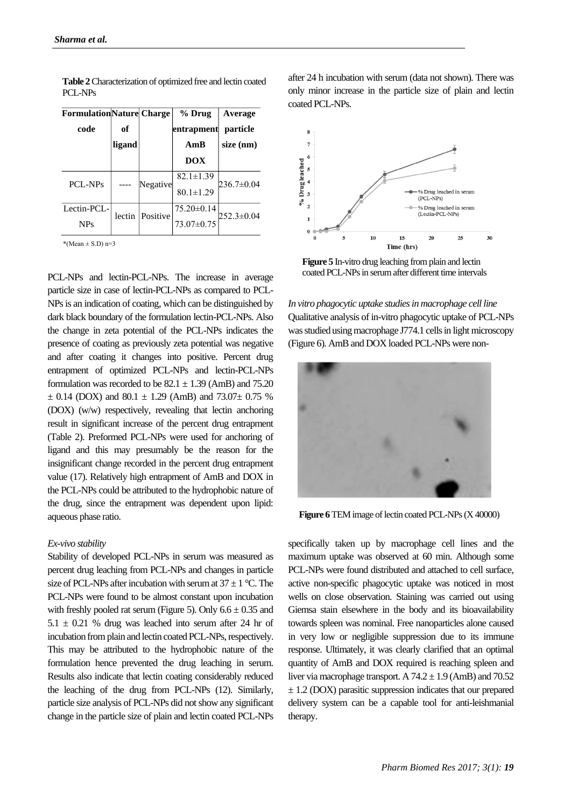| <b>FormulationNature Charge</b><br>code | оf     |                 | % Drug<br> entrapment | Average<br>particle |
|-----------------------------------------|--------|-----------------|-----------------------|---------------------|
|                                         | ligand |                 | AmB                   | size (nm)           |
|                                         |        |                 | <b>DOX</b>            |                     |
| PCL-NPs                                 |        | Negative        | $82.1 \pm 1.39$       | $236.7 \pm 0.04$    |
|                                         |        |                 | $80.1 \pm 1.29$       |                     |
| Lectin-PCL-                             |        | lectin Positive | 75.20±0.14            | $252.3 \pm 0.04$    |
| <b>NPs</b>                              |        |                 | 73.07±0.75            |                     |

**Table 2**Characterization of optimized free and lectin coated PCL-NPs

 $*(Mean \pm S.D) n=3$ 

PCL-NPs and lectin-PCL-NPs. The increase in average particle size in case of lectin-PCL-NPs as compared to PCL-NPs is an indication of coating, which can be distinguished by dark black boundary of the formulation lectin-PCL-NPs. Also the change in zeta potential of the PCL-NPs indicates the presence of coating as previously zeta potential was negative and after coating it changes into positive. Percent drug entrapment of optimized PCL-NPs and lectin-PCL-NPs formulation was recorded to be  $82.1 \pm 1.39$  (AmB) and  $75.20$  $\pm$  0.14 (DOX) and 80.1  $\pm$  1.29 (AmB) and 73.07 $\pm$  0.75 % (DOX) (w/w) respectively, revealing that lectin anchoring result in significant increase of the percent drug entrapment (Table 2). Preformed PCL-NPs were used for anchoring of ligand and this may presumably be the reason for the insignificant change recorded in the percent drug entrapment value (17). Relatively high entrapment of AmB and DOX in the PCL-NPs could be attributed to the hydrophobic nature of the drug, since the entrapment was dependent upon lipid: aqueous phase ratio.

#### *Ex-vivo stability*

Stability of developed PCL-NPs in serum was measured as percent drug leaching from PCL-NPs and changes in particle size of PCL-NPs after incubation with serum at  $37 \pm 1$  °C. The PCL-NPs were found to be almost constant upon incubation with freshly pooled rat serum (Figure 5). Only  $6.6 \pm 0.35$  and  $5.1 \pm 0.21$  % drug was leached into serum after 24 hr of incubation from plain and lectin coated PCL-NPs, respectively. This may be attributed to the hydrophobic nature of the formulation hence prevented the drug leaching in serum. Results also indicate that lectin coating considerably reduced the leaching of the drug from PCL-NPs (12). Similarly, particle size analysis of PCL-NPs did not show any significant change in the particle size of plain and lectin coated PCL-NPs

after 24 h incubation with serum (data not shown). There was only minor increase in the particle size of plain and lectin coated PCL-NPs.



**Figure 5** In-vitro drug leaching from plain and lectin coated PCL-NPs in serum after different time intervals

*In vitro phagocytic uptake studies in macrophage cell line* Qualitative analysis of in-vitro phagocytic uptake of PCL-NPs was studied using macrophage J774.1 cells in light microscopy (Figure 6). AmB and DOX loaded PCL-NPs were non-



**Figure 6** TEM image of lectin coated PCL-NPs (X 40000)

specifically taken up by macrophage cell lines and the maximum uptake was observed at 60 min. Although some PCL-NPs were found distributed and attached to cell surface, active non-specific phagocytic uptake was noticed in most wells on close observation. Staining was carried out using Giemsa stain elsewhere in the body and its bioavailability towards spleen was nominal. Free nanoparticles alone caused in very low or negligible suppression due to its immune response. Ultimately, it was clearly clarified that an optimal quantity of AmB and DOX required is reaching spleen and liver via macrophage transport. A  $74.2 \pm 1.9$  (AmB) and  $70.52$  $\pm$  1.2 (DOX) parasitic suppression indicates that our prepared delivery system can be a capable tool for anti-leishmanial therapy.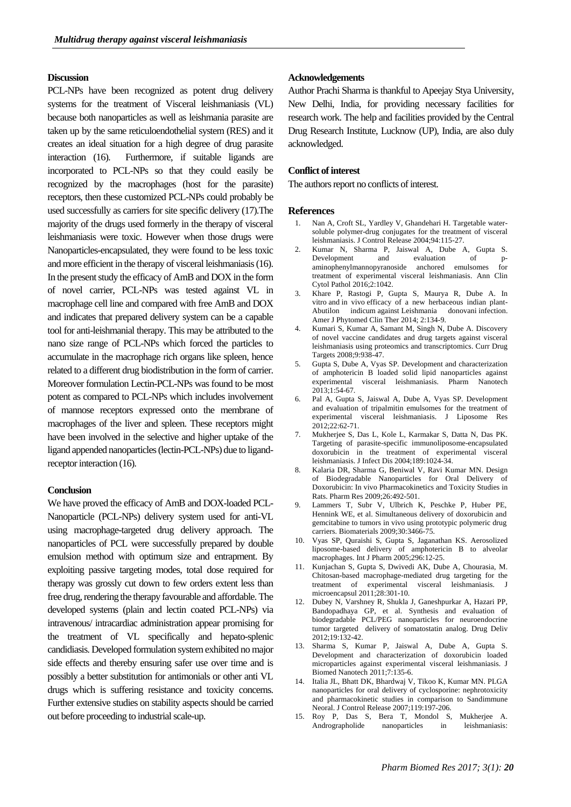# **Discussion**

PCL-NPs have been recognized as potent drug delivery systems for the treatment of Visceral leishmaniasis (VL) because both nanoparticles as well as leishmania parasite are taken up by the same reticuloendothelial system (RES) and it creates an ideal situation for a high degree of drug parasite interaction (16). Furthermore, if suitable ligands are incorporated to PCL-NPs so that they could easily be recognized by the macrophages (host for the parasite) receptors, then these customized PCL-NPs could probably be used successfully as carriers for site specific delivery (17).The majority of the drugs used formerly in the therapy of visceral leishmaniasis were toxic. However when those drugs were Nanoparticles-encapsulated, they were found to be less toxic and more efficient in the therapy of visceral leishmaniasis (16). In the present study the efficacy of AmB and DOX in the form of novel carrier, PCL-NPs was tested against VL in macrophage cell line and compared with free AmB and DOX and indicates that prepared delivery system can be a capable tool for anti-leishmanial therapy. This may be attributed to the nano size range of PCL-NPs which forced the particles to accumulate in the macrophage rich organs like spleen, hence related to a different drug biodistribution in the form of carrier. Moreover formulation Lectin-PCL-NPs was found to be most potent as compared to PCL-NPs which includes involvement of mannose receptors expressed onto the membrane of macrophages of the liver and spleen. These receptors might have been involved in the selective and higher uptake of the ligand appended nanoparticles (lectin-PCL-NPs) due to ligandreceptor interaction (16).

# **Conclusion**

We have proved the efficacy of AmB and DOX-loaded PCL-Nanoparticle (PCL-NPs) delivery system used for anti-VL using macrophage-targeted drug delivery approach. The nanoparticles of PCL were successfully prepared by double emulsion method with optimum size and entrapment. By exploiting passive targeting modes, total dose required for therapy was grossly cut down to few orders extent less than free drug, rendering the therapy favourable and affordable. The developed systems (plain and lectin coated PCL-NPs) via intravenous/ intracardiac administration appear promising for the treatment of VL specifically and hepato-splenic candidiasis. Developed formulation system exhibited no major side effects and thereby ensuring safer use over time and is possibly a better substitution for antimonials or other anti VL drugs which is suffering resistance and toxicity concerns. Further extensive studies on stability aspects should be carried out before proceeding to industrial scale-up.

#### **Acknowledgements**

Author Prachi Sharma is thankful to Apeejay Stya University, New Delhi, India, for providing necessary facilities for research work. The help and facilities provided by the Central Drug Research Institute, Lucknow (UP), India, are also duly acknowledged.

## **Conflict of interest**

The authors report no conflicts of interest.

#### **References**

- 1. Nan A, Croft SL, Yardley V, Ghandehari H. Targetable watersoluble polymer-drug conjugates for the treatment of visceral leishmaniasis. J Control Release 2004;94:115-27.
- 2. Kumar N, Sharma P, Jaiswal A, Dube A, Gupta S. Development and evaluation of paminophenylmannopyranoside anchored emulsomes for treatment of experimental visceral leishmaniasis. Ann Clin Cytol Pathol 2016;2:1042.
- 3. Khare P, Rastogi P, Gupta S, Maurya R, Dube A. In vitro and in vivo efficacy of a new herbaceous indian plant-Abutilon indicum against Leishmania donovani infection. Amer J Phytomed Clin Ther 2014; 2:134-9.
- 4. Kumari S, Kumar A, Samant M, Singh N, Dube A. Discovery of novel vaccine candidates and drug targets against visceral leishmaniasis using proteomics and transcriptomics. Curr Drug Targets 2008;9:938-47.
- 5. Gupta S, Dube A, Vyas SP. Development and characterization of amphotericin B loaded solid lipid nanoparticles against experimental visceral leishmaniasis. Pharm Nanotech 2013;1:54-67.
- 6. Pal A, Gupta S, Jaiswal A, Dube A, Vyas SP. Development and evaluation of tripalmitin emulsomes for the treatment of experimental visceral leishmaniasis. J Liposome Res 2012;22:62-71.
- 7. Mukherjee S, Das L, Kole L, Karmakar S, Datta N, Das PK. Targeting of parasite-specific immunoliposome-encapsulated doxorubicin in the treatment of experimental visceral leishmaniasis. J Infect Dis 2004;189:1024-34.
- 8. [Kalaria DR,](https://www.ncbi.nlm.nih.gov/pubmed/?term=Kalaria%20DR%5BAuthor%5D&cauthor=true&cauthor_uid=18998202) [Sharma G,](https://www.ncbi.nlm.nih.gov/pubmed/?term=Sharma%20G%5BAuthor%5D&cauthor=true&cauthor_uid=18998202) [Beniwal V,](https://www.ncbi.nlm.nih.gov/pubmed/?term=Beniwal%20V%5BAuthor%5D&cauthor=true&cauthor_uid=18998202) [Ravi Kumar MN.](https://www.ncbi.nlm.nih.gov/pubmed/?term=Ravi%20Kumar%20MN%5BAuthor%5D&cauthor=true&cauthor_uid=18998202) Design of Biodegradable Nanoparticles for Oral Delivery of Doxorubicin: In vivo Pharmacokinetics and Toxicity Studies in Rats. Pharm Res 2009;26:492-501.
- 9. Lammers T, Subr V, Ulbrich K, Peschke P, Huber PE, Hennink WE, et al. Simultaneous delivery of doxorubicin and gemcitabine to tumors in vivo using prototypic polymeric drug carriers. Biomaterials 2009;30:3466-75.
- 10. Vyas SP, Quraishi S, Gupta S, Jaganathan KS. Aerosolized liposome-based delivery of amphotericin B to alveolar macrophages. Int J Pharm 2005;296:12-25.
- 11. Kunjachan S, Gupta S, Dwivedi AK, Dube A, Chourasia, M. Chitosan-based macrophage-mediated drug targeting for the treatment of experimental visceral leishmaniasis. J microencapsul 2011;28:301-10.
- 12. Dubey N, Varshney R, Shukla J, Ganeshpurkar A, Hazari PP, Bandopadhaya GP, et al. Synthesis and evaluation of biodegradable PCL/PEG nanoparticles for neuroendocrine tumor targeted delivery of somatostatin analog. Drug Deliv 2012;19:132-42.
- 13. Sharma S, Kumar P, Jaiswal A, Dube A, Gupta S. Development and characterization of doxorubicin loaded microparticles against experimental visceral leishmaniasis. J Biomed Nanotech 2011;7:135-6.
- 14. Italia JL, Bhatt DK, Bhardwaj V, Tikoo K, Kumar MN. PLGA nanoparticles for oral delivery of cyclosporine: nephrotoxicity and pharmacokinetic studies in comparison to Sandimmune Neoral. J Control Release 2007;119:197-206.
- 15. Roy P, Das S, Bera T, Mondol S, Mukherjee A. Andrographolide nanoparticles in leishmaniasis: